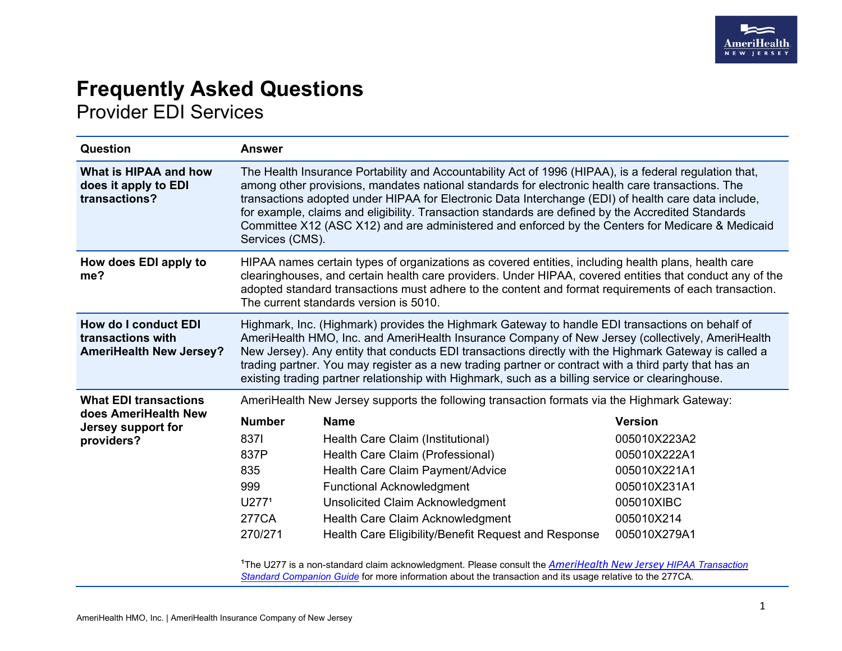

## **Frequently Asked Questions** Provider EDI Services

| Question                                                                                 | <b>Answer</b>                                                                                                                                                                                                                                                                                                                                                                                                                                                                                                                                  |                                                                                                                                                                                                                                                                                              |                                                                                                                            |
|------------------------------------------------------------------------------------------|------------------------------------------------------------------------------------------------------------------------------------------------------------------------------------------------------------------------------------------------------------------------------------------------------------------------------------------------------------------------------------------------------------------------------------------------------------------------------------------------------------------------------------------------|----------------------------------------------------------------------------------------------------------------------------------------------------------------------------------------------------------------------------------------------------------------------------------------------|----------------------------------------------------------------------------------------------------------------------------|
| What is HIPAA and how<br>does it apply to EDI<br>transactions?                           | The Health Insurance Portability and Accountability Act of 1996 (HIPAA), is a federal regulation that,<br>among other provisions, mandates national standards for electronic health care transactions. The<br>transactions adopted under HIPAA for Electronic Data Interchange (EDI) of health care data include,<br>for example, claims and eligibility. Transaction standards are defined by the Accredited Standards<br>Committee X12 (ASC X12) and are administered and enforced by the Centers for Medicare & Medicaid<br>Services (CMS). |                                                                                                                                                                                                                                                                                              |                                                                                                                            |
| How does EDI apply to<br>me?                                                             | HIPAA names certain types of organizations as covered entities, including health plans, health care<br>clearinghouses, and certain health care providers. Under HIPAA, covered entities that conduct any of the<br>adopted standard transactions must adhere to the content and format requirements of each transaction.<br>The current standards version is 5010.                                                                                                                                                                             |                                                                                                                                                                                                                                                                                              |                                                                                                                            |
| <b>How do I conduct EDI</b><br>transactions with<br><b>AmeriHealth New Jersey?</b>       | Highmark, Inc. (Highmark) provides the Highmark Gateway to handle EDI transactions on behalf of<br>AmeriHealth HMO, Inc. and AmeriHealth Insurance Company of New Jersey (collectively, AmeriHealth<br>New Jersey). Any entity that conducts EDI transactions directly with the Highmark Gateway is called a<br>trading partner. You may register as a new trading partner or contract with a third party that has an<br>existing trading partner relationship with Highmark, such as a billing service or clearinghouse.                      |                                                                                                                                                                                                                                                                                              |                                                                                                                            |
| <b>What EDI transactions</b><br>does AmeriHealth New<br>Jersey support for<br>providers? | AmeriHealth New Jersey supports the following transaction formats via the Highmark Gateway:                                                                                                                                                                                                                                                                                                                                                                                                                                                    |                                                                                                                                                                                                                                                                                              |                                                                                                                            |
|                                                                                          | <b>Number</b><br>8371<br>837P<br>835<br>999<br>U277 <sup>1</sup><br><b>277CA</b><br>270/271                                                                                                                                                                                                                                                                                                                                                                                                                                                    | <b>Name</b><br>Health Care Claim (Institutional)<br>Health Care Claim (Professional)<br>Health Care Claim Payment/Advice<br><b>Functional Acknowledgment</b><br>Unsolicited Claim Acknowledgment<br>Health Care Claim Acknowledgment<br>Health Care Eligibility/Benefit Request and Response | <b>Version</b><br>005010X223A2<br>005010X222A1<br>005010X221A1<br>005010X231A1<br>005010XIBC<br>005010X214<br>005010X279A1 |

<sup>1</sup>The U277 is a non-standard claim acknowledgment. Please consult the **AmeriHealth New Jersey HIPAA Transaction** *[Standard Companion Guide](https://www.amerihealthnj.com/Resources/pdfs/7.5/hipaa_transaction_standard_companion_guide_ahnj.pdf)* for more information about the transaction and its usage relative to the 277CA.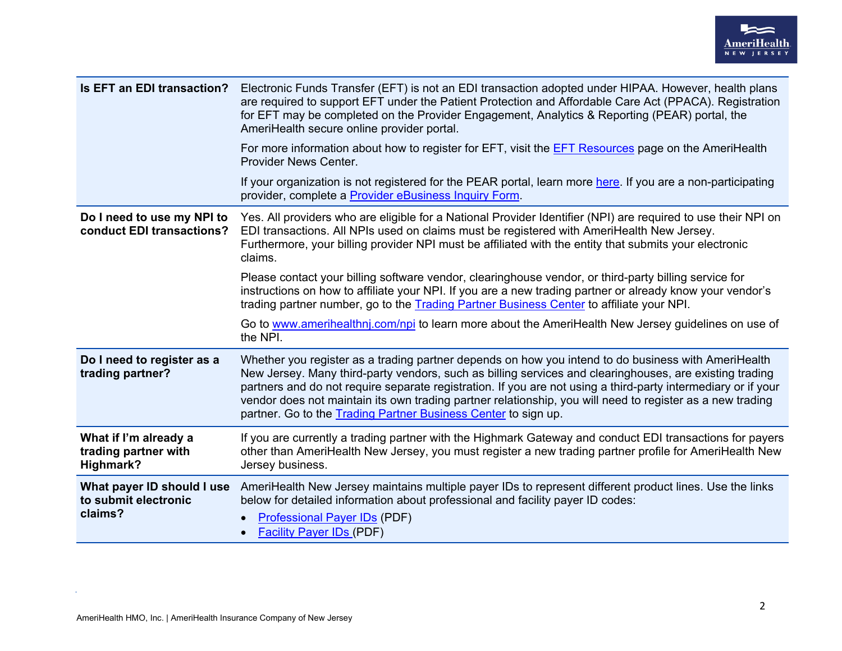

| Is EFT an EDI transaction?                                    | Electronic Funds Transfer (EFT) is not an EDI transaction adopted under HIPAA. However, health plans<br>are required to support EFT under the Patient Protection and Affordable Care Act (PPACA). Registration<br>for EFT may be completed on the Provider Engagement, Analytics & Reporting (PEAR) portal, the<br>AmeriHealth secure online provider portal.                                                                                                                                                  |  |
|---------------------------------------------------------------|----------------------------------------------------------------------------------------------------------------------------------------------------------------------------------------------------------------------------------------------------------------------------------------------------------------------------------------------------------------------------------------------------------------------------------------------------------------------------------------------------------------|--|
|                                                               | For more information about how to register for EFT, visit the <b>EFT Resources</b> page on the AmeriHealth<br>Provider News Center.                                                                                                                                                                                                                                                                                                                                                                            |  |
|                                                               | If your organization is not registered for the PEAR portal, learn more here. If you are a non-participating<br>provider, complete a Provider eBusiness Inquiry Form.                                                                                                                                                                                                                                                                                                                                           |  |
| Do I need to use my NPI to<br>conduct EDI transactions?       | Yes. All providers who are eligible for a National Provider Identifier (NPI) are required to use their NPI on<br>EDI transactions. All NPIs used on claims must be registered with AmeriHealth New Jersey.<br>Furthermore, your billing provider NPI must be affiliated with the entity that submits your electronic<br>claims.                                                                                                                                                                                |  |
|                                                               | Please contact your billing software vendor, clearinghouse vendor, or third-party billing service for<br>instructions on how to affiliate your NPI. If you are a new trading partner or already know your vendor's<br>trading partner number, go to the Trading Partner Business Center to affiliate your NPI.                                                                                                                                                                                                 |  |
|                                                               | Go to www.amerihealthnj.com/npi to learn more about the AmeriHealth New Jersey guidelines on use of<br>the NPI.                                                                                                                                                                                                                                                                                                                                                                                                |  |
| Do I need to register as a<br>trading partner?                | Whether you register as a trading partner depends on how you intend to do business with AmeriHealth<br>New Jersey. Many third-party vendors, such as billing services and clearinghouses, are existing trading<br>partners and do not require separate registration. If you are not using a third-party intermediary or if your<br>vendor does not maintain its own trading partner relationship, you will need to register as a new trading<br>partner. Go to the Trading Partner Business Center to sign up. |  |
| What if I'm already a<br>trading partner with<br>Highmark?    | If you are currently a trading partner with the Highmark Gateway and conduct EDI transactions for payers<br>other than AmeriHealth New Jersey, you must register a new trading partner profile for AmeriHealth New<br>Jersey business.                                                                                                                                                                                                                                                                         |  |
| What payer ID should I use<br>to submit electronic<br>claims? | AmeriHealth New Jersey maintains multiple payer IDs to represent different product lines. Use the links<br>below for detailed information about professional and facility payer ID codes:<br><b>Professional Payer IDs (PDF)</b><br>$\bullet$<br><b>Facility Payer IDs (PDF)</b><br>$\bullet$                                                                                                                                                                                                                  |  |

 $\alpha$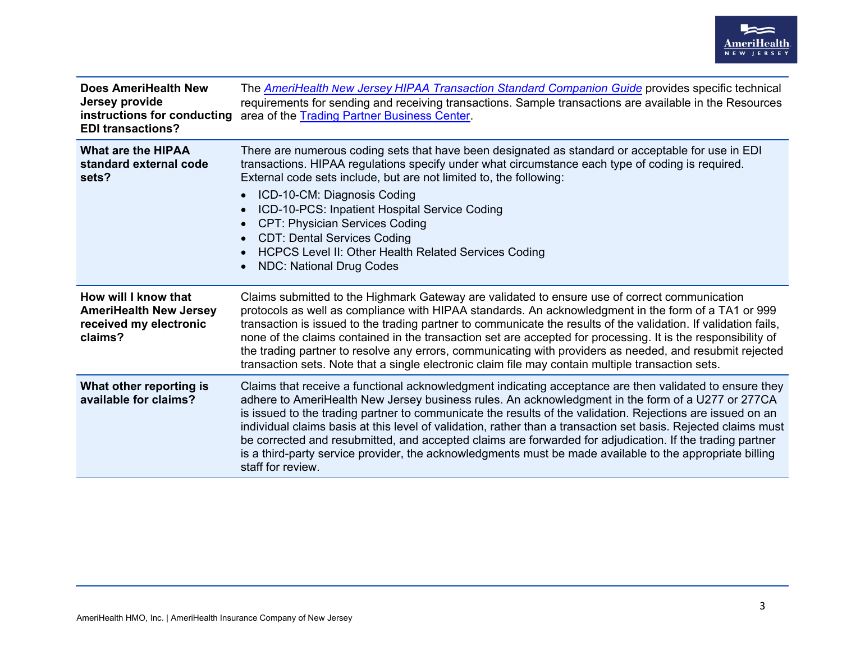

| <b>Does AmeriHealth New</b><br>Jersey provide<br>instructions for conducting<br><b>EDI transactions?</b> | The <b>AmeriHealth New Jersey HIPAA Transaction Standard Companion Guide</b> provides specific technical<br>requirements for sending and receiving transactions. Sample transactions are available in the Resources<br>area of the Trading Partner Business Center.                                                                                                                                                                                                                                                                                                                                                                                                                       |
|----------------------------------------------------------------------------------------------------------|-------------------------------------------------------------------------------------------------------------------------------------------------------------------------------------------------------------------------------------------------------------------------------------------------------------------------------------------------------------------------------------------------------------------------------------------------------------------------------------------------------------------------------------------------------------------------------------------------------------------------------------------------------------------------------------------|
| <b>What are the HIPAA</b><br>standard external code<br>sets?                                             | There are numerous coding sets that have been designated as standard or acceptable for use in EDI<br>transactions. HIPAA regulations specify under what circumstance each type of coding is required.<br>External code sets include, but are not limited to, the following:<br>ICD-10-CM: Diagnosis Coding<br>$\bullet$<br>ICD-10-PCS: Inpatient Hospital Service Coding<br>$\bullet$<br><b>CPT: Physician Services Coding</b><br>$\bullet$<br><b>CDT: Dental Services Coding</b><br>$\bullet$<br><b>HCPCS Level II: Other Health Related Services Coding</b><br>$\bullet$<br><b>NDC: National Drug Codes</b><br>$\bullet$                                                                |
| How will I know that<br><b>AmeriHealth New Jersey</b><br>received my electronic<br>claims?               | Claims submitted to the Highmark Gateway are validated to ensure use of correct communication<br>protocols as well as compliance with HIPAA standards. An acknowledgment in the form of a TA1 or 999<br>transaction is issued to the trading partner to communicate the results of the validation. If validation fails,<br>none of the claims contained in the transaction set are accepted for processing. It is the responsibility of<br>the trading partner to resolve any errors, communicating with providers as needed, and resubmit rejected<br>transaction sets. Note that a single electronic claim file may contain multiple transaction sets.                                  |
| What other reporting is<br>available for claims?                                                         | Claims that receive a functional acknowledgment indicating acceptance are then validated to ensure they<br>adhere to AmeriHealth New Jersey business rules. An acknowledgment in the form of a U277 or 277CA<br>is issued to the trading partner to communicate the results of the validation. Rejections are issued on an<br>individual claims basis at this level of validation, rather than a transaction set basis. Rejected claims must<br>be corrected and resubmitted, and accepted claims are forwarded for adjudication. If the trading partner<br>is a third-party service provider, the acknowledgments must be made available to the appropriate billing<br>staff for review. |